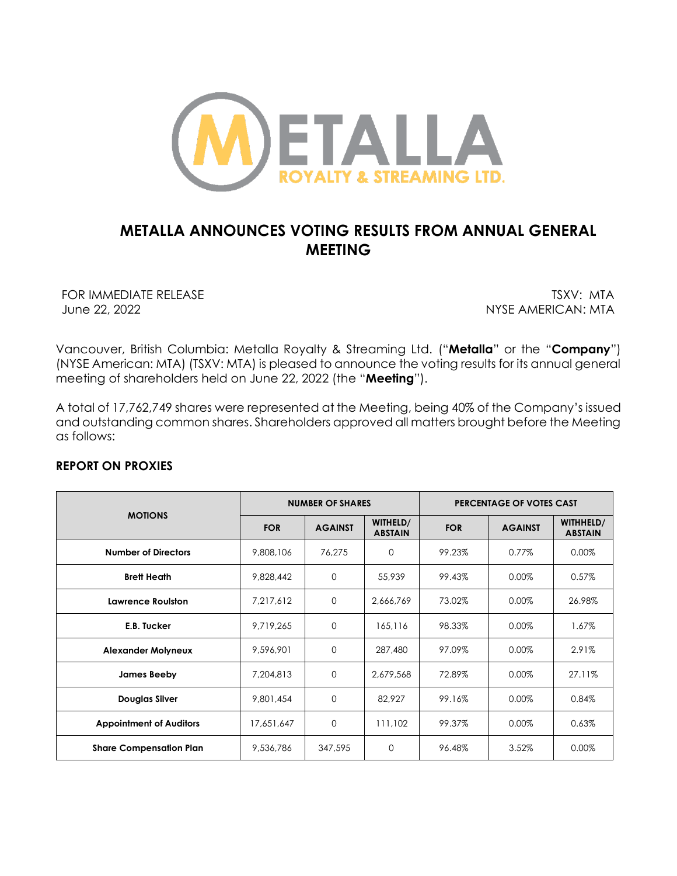

# **METALLA ANNOUNCES VOTING RESULTS FROM ANNUAL GENERAL MEETING**

FOR IMMEDIATE RELEASE TO THE CONTROL OF THE CONTROL OF THE CONTROL OF THE CONTROL OF THE CONTROL OF THE CONTROL OF THE CONTROL OF THE CONTROL OF THE CONTROL OF THE CONTROL OF THE CONTROL OF THE CONTROL OF THE CONTROL OF TH June 22, 2022 NYSE AMERICAN: MTA

Vancouver, British Columbia: Metalla Royalty & Streaming Ltd. ("**Metalla**" or the "**Company**") (NYSE American: MTA) (TSXV: MTA) is pleased to announce the voting results for its annual general meeting of shareholders held on June 22, 2022 (the "**Meeting**").

A total of 17,762,749 shares were represented at the Meeting, being 40% of the Company's issued and outstanding common shares. Shareholders approved all matters brought before the Meeting as follows:

# **REPORT ON PROXIES**

| <b>MOTIONS</b>                 | <b>NUMBER OF SHARES</b> |                |                            | PERCENTAGE OF VOTES CAST |                |                             |
|--------------------------------|-------------------------|----------------|----------------------------|--------------------------|----------------|-----------------------------|
|                                | <b>FOR</b>              | <b>AGAINST</b> | WITHELD/<br><b>ABSTAIN</b> | <b>FOR</b>               | <b>AGAINST</b> | WITHHELD/<br><b>ABSTAIN</b> |
| <b>Number of Directors</b>     | 9,808,106               | 76,275         | $\Omega$                   | 99.23%                   | 0.77%          | 0.00%                       |
| <b>Brett Heath</b>             | 9,828,442               | $\mathbf{O}$   | 55,939                     | 99.43%                   | 0.00%          | 0.57%                       |
| Lawrence Roulston              | 7,217,612               | $\mathbf 0$    | 2,666,769                  | 73.02%                   | 0.00%          | 26.98%                      |
| E.B. Tucker                    | 9,719,265               | $\Omega$       | 165,116                    | 98.33%                   | 0.00%          | 1.67%                       |
| <b>Alexander Molyneux</b>      | 9,596,901               | $\mathbf 0$    | 287,480                    | 97.09%                   | 0.00%          | 2.91%                       |
| James Beeby                    | 7,204,813               | $\mathbf{O}$   | 2,679,568                  | 72.89%                   | 0.00%          | 27.11%                      |
| <b>Douglas Silver</b>          | 9,801,454               | $\mathbf{O}$   | 82,927                     | 99.16%                   | 0.00%          | 0.84%                       |
| <b>Appointment of Auditors</b> | 17,651,647              | $\mathbf{O}$   | 111.102                    | 99.37%                   | 0.00%          | 0.63%                       |
| <b>Share Compensation Plan</b> | 9,536,786               | 347,595        | 0                          | 96.48%                   | 3.52%          | 0.00%                       |